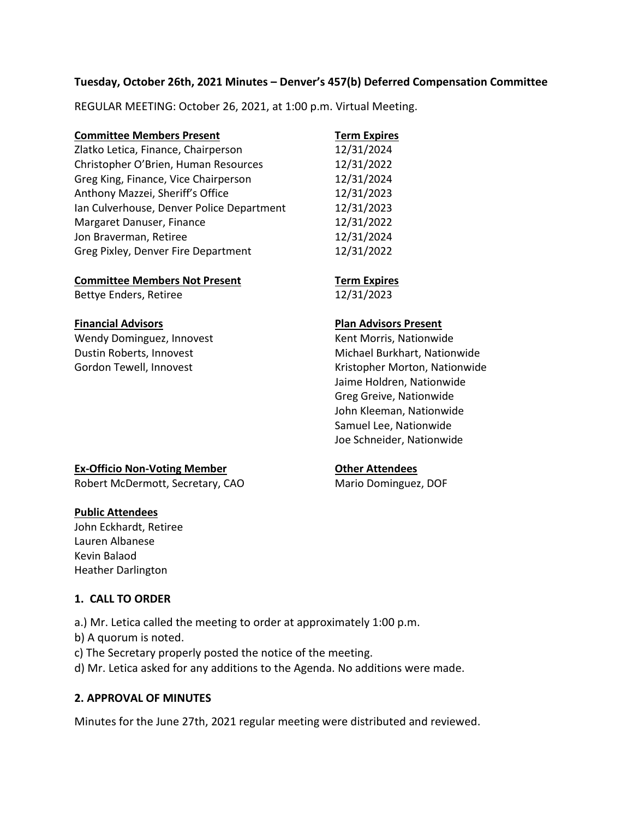### **Tuesday, October 26th, 2021 Minutes – Denver's 457(b) Deferred Compensation Committee**

REGULAR MEETING: October 26, 2021, at 1:00 p.m. Virtual Meeting.

| <b>Committee Members Present</b>          | <b>Term Expires</b> |
|-------------------------------------------|---------------------|
| Zlatko Letica, Finance, Chairperson       | 12/31/2024          |
| Christopher O'Brien, Human Resources      | 12/31/2022          |
| Greg King, Finance, Vice Chairperson      | 12/31/2024          |
| Anthony Mazzei, Sheriff's Office          | 12/31/2023          |
| Ian Culverhouse, Denver Police Department | 12/31/2023          |
| Margaret Danuser, Finance                 | 12/31/2022          |
| Jon Braverman, Retiree                    | 12/31/2024          |
| Greg Pixley, Denver Fire Department       | 12/31/2022          |

## **Committee Members Not Present <b>Term Expires**

Bettye Enders, Retiree 12/31/2023

Wendy Dominguez, Innovest Wendy Dominguez, Innovest Kent Morris, Nationwide

## **Financial Advisors Plan Advisors Present**

Dustin Roberts, Innovest **Michael Burkhart, Nationwide** Gordon Tewell, Innovest The Controller Morton, Nationwide Jaime Holdren, Nationwide Greg Greive, Nationwide John Kleeman, Nationwide Samuel Lee, Nationwide Joe Schneider, Nationwide

# **Ex-Officio Non-Voting Member <b>CEA CEA CEA CEA CHA CHA CHA CHA CHA CHA CHA CHA CHA CHA CHA CHA CHA CHA CHA CHA CHA CHA CHA CHA CHA CHA CHA CHA CHA CHA CHA CHA**

Robert McDermott, Secretary, CAO Mario Dominguez, DOF

### **Public Attendees**

John Eckhardt, Retiree Lauren Albanese Kevin Balaod Heather Darlington

### **1. CALL TO ORDER**

a.) Mr. Letica called the meeting to order at approximately 1:00 p.m.

b) A quorum is noted.

c) The Secretary properly posted the notice of the meeting.

d) Mr. Letica asked for any additions to the Agenda. No additions were made.

## **2. APPROVAL OF MINUTES**

Minutes for the June 27th, 2021 regular meeting were distributed and reviewed.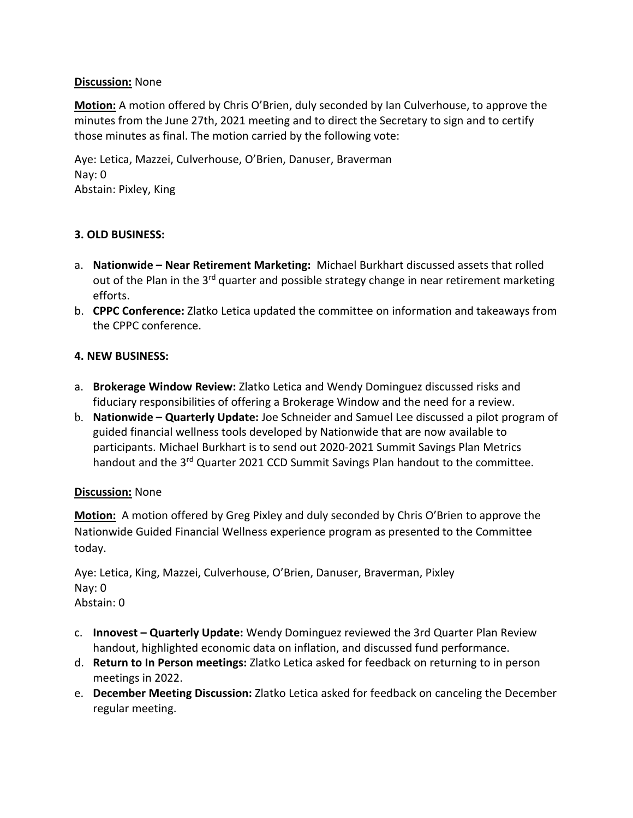## **Discussion:** None

**Motion:** A motion offered by Chris O'Brien, duly seconded by Ian Culverhouse, to approve the minutes from the June 27th, 2021 meeting and to direct the Secretary to sign and to certify those minutes as final. The motion carried by the following vote:

Aye: Letica, Mazzei, Culverhouse, O'Brien, Danuser, Braverman Nay: 0 Abstain: Pixley, King

## **3. OLD BUSINESS:**

- a. **Nationwide – Near Retirement Marketing:** Michael Burkhart discussed assets that rolled out of the Plan in the  $3^{rd}$  quarter and possible strategy change in near retirement marketing efforts.
- b. **CPPC Conference:** Zlatko Letica updated the committee on information and takeaways from the CPPC conference.

## **4. NEW BUSINESS:**

- a. **Brokerage Window Review:** Zlatko Letica and Wendy Dominguez discussed risks and fiduciary responsibilities of offering a Brokerage Window and the need for a review.
- b. **Nationwide – Quarterly Update:** Joe Schneider and Samuel Lee discussed a pilot program of guided financial wellness tools developed by Nationwide that are now available to participants. Michael Burkhart is to send out 2020-2021 Summit Savings Plan Metrics handout and the 3<sup>rd</sup> Quarter 2021 CCD Summit Savings Plan handout to the committee.

### **Discussion:** None

**Motion:** A motion offered by Greg Pixley and duly seconded by Chris O'Brien to approve the Nationwide Guided Financial Wellness experience program as presented to the Committee today.

Aye: Letica, King, Mazzei, Culverhouse, O'Brien, Danuser, Braverman, Pixley Nay: 0 Abstain: 0

- c. **Innovest – Quarterly Update:** Wendy Dominguez reviewed the 3rd Quarter Plan Review handout, highlighted economic data on inflation, and discussed fund performance.
- d. **Return to In Person meetings:** Zlatko Letica asked for feedback on returning to in person meetings in 2022.
- e. **December Meeting Discussion:** Zlatko Letica asked for feedback on canceling the December regular meeting.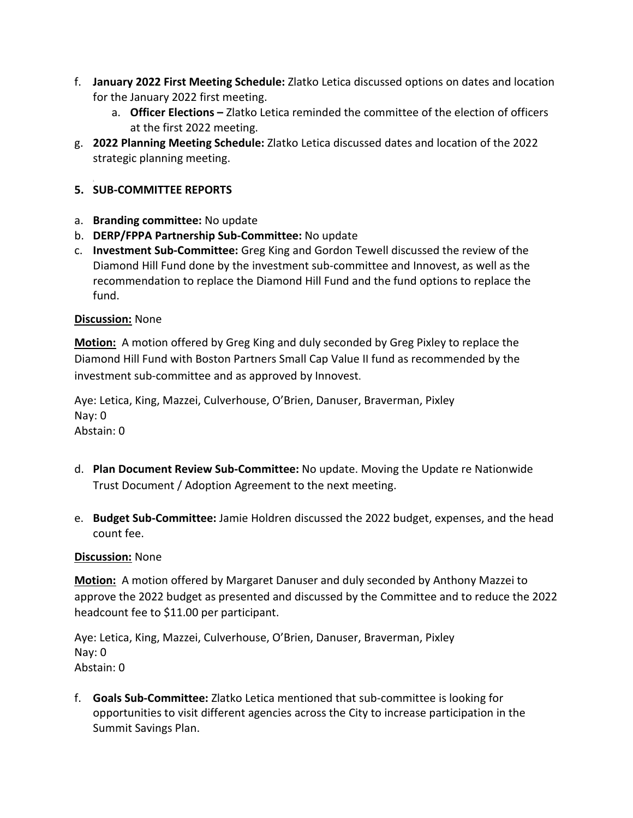- f. **January 2022 First Meeting Schedule:** Zlatko Letica discussed options on dates and location for the January 2022 first meeting.
	- a. **Officer Elections –** Zlatko Letica reminded the committee of the election of officers at the first 2022 meeting.
- g. **2022 Planning Meeting Schedule:** Zlatko Letica discussed dates and location of the 2022 strategic planning meeting.

# **5. SUB-COMMITTEE REPORTS**

- a. **Branding committee:** No update
- b. **DERP/FPPA Partnership Sub-Committee:** No update
- c. **Investment Sub-Committee:** Greg King and Gordon Tewell discussed the review of the Diamond Hill Fund done by the investment sub-committee and Innovest, as well as the recommendation to replace the Diamond Hill Fund and the fund options to replace the fund.

## **Discussion:** None

**Motion:** A motion offered by Greg King and duly seconded by Greg Pixley to replace the Diamond Hill Fund with Boston Partners Small Cap Value II fund as recommended by the investment sub-committee and as approved by Innovest.

Aye: Letica, King, Mazzei, Culverhouse, O'Brien, Danuser, Braverman, Pixley Nay: 0 Abstain: 0

- d. **Plan Document Review Sub-Committee:** No update. Moving the Update re Nationwide Trust Document / Adoption Agreement to the next meeting.
- e. **Budget Sub-Committee:** Jamie Holdren discussed the 2022 budget, expenses, and the head count fee.

## **Discussion:** None

**Motion:** A motion offered by Margaret Danuser and duly seconded by Anthony Mazzei to approve the 2022 budget as presented and discussed by the Committee and to reduce the 2022 headcount fee to \$11.00 per participant.

Aye: Letica, King, Mazzei, Culverhouse, O'Brien, Danuser, Braverman, Pixley Nay: 0 Abstain: 0

f. **Goals Sub-Committee:** Zlatko Letica mentioned that sub-committee is looking for opportunities to visit different agencies across the City to increase participation in the Summit Savings Plan.